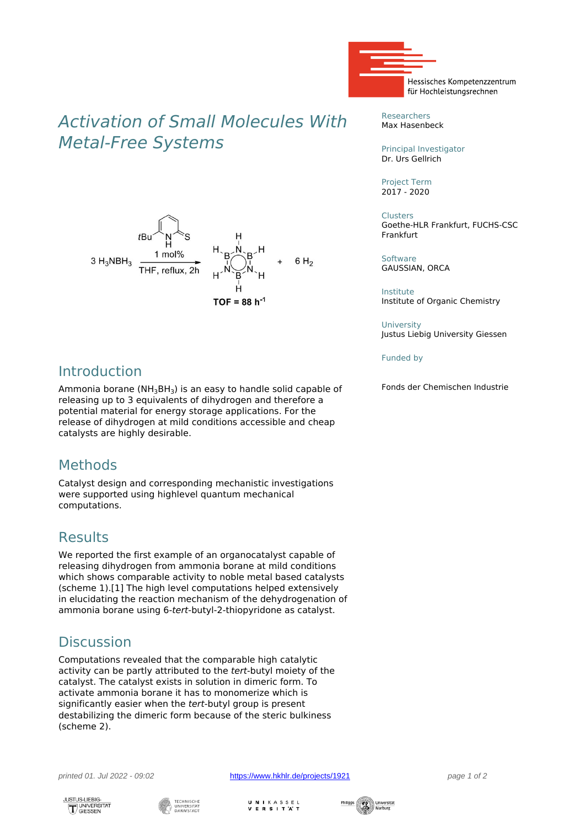# *Activation of Small Molecules With Metal-Free Systems*



### Introduction

Ammonia borane ( $NH<sub>3</sub>BH<sub>3</sub>$ ) is an easy to handle solid capable of releasing up to 3 equivalents of dihydrogen and therefore a potential material for energy storage applications. For the release of dihydrogen at mild conditions accessible and cheap catalysts are highly desirable.

# **Methods**

Catalyst design and corresponding mechanistic investigations were supported using highlevel quantum mechanical computations.

### Results

We reported the first example of an organocatalyst capable of releasing dihydrogen from ammonia borane at mild conditions which shows comparable activity to noble metal based catalysts (scheme 1).[1] The high level computations helped extensively in elucidating the reaction mechanism of the dehydrogenation of ammonia borane using 6-*tert*-butyl-2-thiopyridone as catalyst.

# **Discussion**

Computations revealed that the comparable high catalytic activity can be partly attributed to the *tert*-butyl moiety of the catalyst. The catalyst exists in solution in dimeric form. To activate ammonia borane it has to monomerize which is significantly easier when the *tert*-butyl group is present destabilizing the dimeric form because of the steric bulkiness (scheme 2).



 Researchers Max Hasenbeck

Principal Investigator Dr. Urs Gellrich

Project Term 2017 - 2020

#### Clusters

Goethe-HLR Frankfurt, FUCHS-CSC Frankfurt

Software GAUSSIAN, ORCA

Institute Institute of Organic Chemistry

University Justus Liebig University Giessen

Funded by

Fonds der Chemischen Industrie